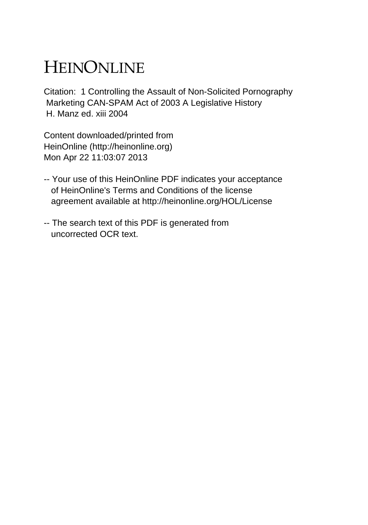# HEINONLINE

Citation: 1 Controlling the Assault of Non-Solicited Pornography Marketing CAN-SPAM Act of 2003 A Legislative History H. Manz ed. xiii 2004

Content downloaded/printed from HeinOnline (http://heinonline.org) Mon Apr 22 11:03:07 2013

- -- Your use of this HeinOnline PDF indicates your acceptance of HeinOnline's Terms and Conditions of the license agreement available at http://heinonline.org/HOL/License
- -- The search text of this PDF is generated from uncorrected OCR text.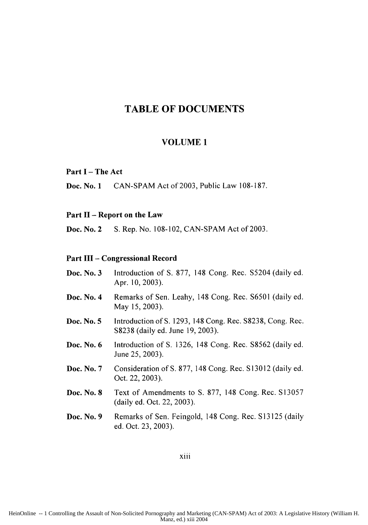### **TABLE OF DOCUMENTS**

#### **VOLUME 1**

#### **Part I - The Act**

**Doc.** No. **1 CAN-SPAM** Act of **2003,** Public Law **108-187.**

#### **Part II - Report on the Law**

**Doc.** No. 2 **S.** Rep. No. **108-102, CAN-SPAM** Act of **2003.**

#### **Part III - Congressional Record**

- **Doc.** No. **3** Introduction of S. 877, 148 Cong. Rec. S5204 (daily ed. Apr. 10, 2003).
- **Doc. No.** 4 Remarks of Sen. Leahy, 148 Cong. Rec. S6501 (daily ed. May 15, 2003).
- **Doc.** No. **5** Introduction of S. 1293, 148 Cong. Rec. S8238, Cong. Rec. S8238 (daily ed. June 19, 2003).
- **Doc.** No. 6 Introduction of **S.** 1326, 148 Cong. Rec. S8562 (daily ed. June 25, 2003).
- **Doc.** No. 7 Consideration of S. 877, 148 Cong. Rec. S13012 (daily ed. Oct. 22, 2003).
- **Doc. No. 8** Text of Amendments to S. 877, 148 Cong. Rec. S13057 (daily ed. Oct. 22, 2003).
- Doc. No. 9 Remarks of Sen. Feingold, 148 Cong. Rec. S13125 (daily ed. Oct. 23, 2003).

xiii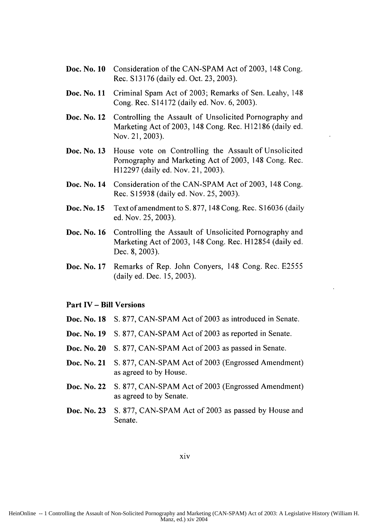- **Doc. No. 10** Consideration of the CAN-SPAM Act of 2003, 148 Cong. Rec. S13176 (daily ed. Oct. 23, 2003).
- **Doc. No. 11** Criminal Spam Act of 2003; Remarks of Sen. Leahy, 148 Cong. Rec. S14172 (daily ed. Nov. 6, 2003).
- **Doc. No. 12** Controlling the Assault of Unsolicited Pornography and Marketing Act of 2003, 148 Cong. Rec. H12186 (daily ed. Nov. 21, 2003).
- **Doc. No. 13** House vote on Controlling the Assault of Unsolicited Pornography and Marketing Act of 2003, 148 Cong. Rec. H12297 (daily ed. Nov. 21, 2003).
- **Doc. No. 14** Consideration of the CAN-SPAM Act of 2003, 148 Cong. Rec. S15938 (daily ed. Nov. 25, 2003).
- **Doc. No. 15** Text of amendment to S. 877, 148 Cong. Rec. S16036 (daily ed. Nov. 25, 2003).
- **Doc. No. 16** Controlling the Assault of Unsolicited Pornography and Marketing Act of 2003, 148 Cong. Rec. H12854 (daily ed. Dec. 8, 2003).
- **Doc. No. 17** Remarks of Rep. John Conyers, 148 Cong. Rec. E2555 (daily ed. Dec. 15, 2003).

#### **Part IV - Bill Versions**

- **Doc.** No. **18 S.** 877, CAN-SPAM Act of 2003 as introduced in Senate.
- **Doc.** No. **19 S. 877, CAN-SPAM** Act of **2003** as reported in Senate.
- **Doc.** No. 20 **S. 877, CAN-SPAM** Act of **2003** as passed in Senate.
- **Doc.** No. 21 **S. 877, CAN-SPAM** Act of **2003** (Engrossed Amendment) as agreed to **by** House.
- **Doc.** No. 22 **S. 877, CAN-SPAM** Act of **2003** (Engrossed Amendment) as agreed to **by** Senate.
- **Doc.** No. **23 S. 877, CAN-SPAM** Act of **2003** as passed **by** House and Senate.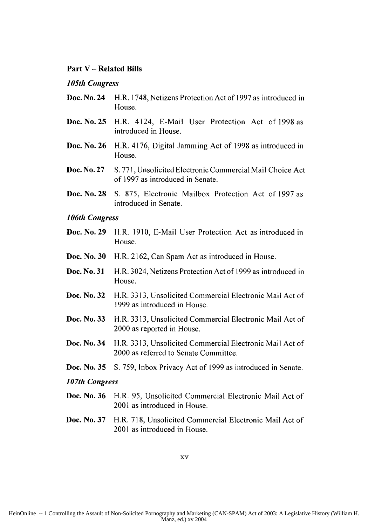#### **Part V - Related Bills**

#### *105th Congress*

- **Doc. No. 24** H.R. 1748, Netizens Protection Act of 1997 as introduced in House.
- **Doc. No. 25** H.R. 4124, E-Mail User Protection Act of 1998 as introduced in House.
- **Doc.** No. **26** H.R. 4176, Digital Jamming Act of 1998 as introduced in House.
- **Doc. No. 27** S. 771, Unsolicited Electronic Commercial Mail Choice Act of 1997 as introduced in Senate.
- **Doc.** No. **28** S. 875, Electronic Mailbox Protection Act of 1997 as introduced in Senate.

#### **106th** *Congress*

- **Doc. No. 29** H.R. **1910,** E-Mail User Protection Act as introduced in House.
- **Doc. No. 30** H.R. 2162, Can Spam Act as introduced in House.
- **Doc.** No. **31** H.R. 3024, Netizens Protection Act of 1999 as introduced in House.
- **Doc.** No. 32 H.R. 3313, Unsolicited Commercial Electronic Mail Act of 1999 as introduced in House.
- **Doc.** No. 33 H.R. 3313, Unsolicited Commercial Electronic Mail Act of 2000 as reported in House.
- **Doc.** No. 34 H.R. 3313, Unsolicited Commercial Electronic Mail Act of 2000 as referred to Senate Committee.
- **Doc.** No. **35** S. 759, Inbox Privacy Act of 1999 as introduced in Senate.

#### **107th** *Congress*

- **Doc. No. 36** H.R. **95,** Unsolicited Commercial Electronic Mail Act of 2001 as introduced in House.
- **Doc.** No. 37 H.R. 718, Unsolicited Commercial Electronic Mail Act of 2001 as introduced in House.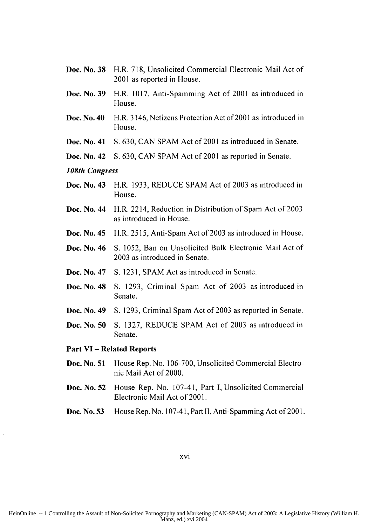- **Doc.** No. 38 H.R. 718, Unsolicited Commercial Electronic Mail Act of 2001 as reported in House.
- **Doc.** No. **39** H.R. 1017, Anti-Spamming Act of 2001 as introduced in House.
- **Doc.** No. **40** H.R. 3146, Netizens Protection Act of 2001 as introduced in House.
- **Doc.** No. 41 S. 630, CAN SPAM Act of 2001 as introduced in Senate.
- **Doc.** No. 42 S. 630, CAN SPAM Act of 2001 as reported in Senate.

#### *108th Congress*

- **Doc. No. 43** H.R. 1933, REDUCE SPAM Act of 2003 as introduced in House.
- **Doc. No. 44** H.R. 2214, Reduction in Distribution of Spam Act of 2003 as introduced in House.
- **Doc.** No. 45 H.R. 2515, Anti-Spam Act of **2003** as introduced in House.
- **Doc.** No. **46 S. 1052,** Ban on Unsolicited Bulk Electronic Mail Act of **2003** as introduced in Senate.
- **Doc.** No. 47 **S.** 1231, **SPAM** Act as introduced in Senate.
- **Doc. No. 48** S. 1293, Criminal Spam Act of 2003 as introduced in Senate.
- **Doc.** No. **49 S.** 1293, Criminal Spam Act of 2003 as reported in Senate.
- **Doc.** No. 50 **S.** 1327, **REDUCE SPAM** Act of **2003** as introduced in Senate.
- **Part VI - Related Reports**
- **Doc.** No. 51 House Rep. No. **106-700,** Unsolicited Commercial Electronic Mail Act of 2000.
- **Doc.** No. 52 House Rep. No. 107-4 **1,** Part **I,** Unsolicited Commercial Electronic Mail Act of 2001.
- **Doc.** No. **53** House Rep. No. 107-41, Part **II,** Anti-Spamming Act of 2001.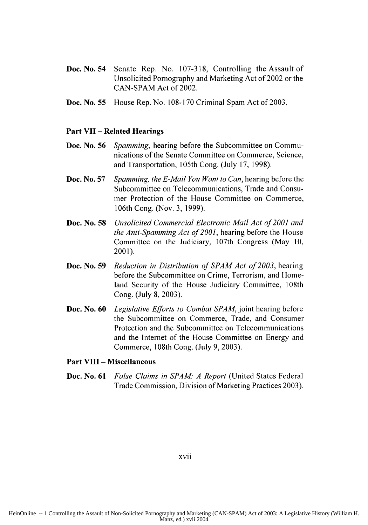- Doc. No. 54 Senate Rep. No. 107-318, Controlling the Assault of Unsolicited Pornography and Marketing Act of 2002 or the CAN-SPAM Act of 2002.
- **Doc. No. 55** House Rep. No. 108-170 Criminal Spam Act of 2003.

#### **Part VII - Related Hearings**

- Doc. No. **56** *Spamming,* hearing before the Subcommittee on Communications of the Senate Committee on Commerce, Science, and Transportation, 105th Cong. (July 17, 1998).
- Doc. No. **57** *Spamming, the E-Mail You Want to Can,* hearing before the Subcommittee on Telecommunications, Trade and Consumer Protection of the House Committee on Commerce, 106th Cong. (Nov. 3, 1999).
- Doc. No. **58** *Unsolicited Commercial Electronic Mail Act of 2001 and the Anti-Spamming Act of 2001,* hearing before the House Committee on the Judiciary, 107th Congress (May 10, 2001).
- **Doc. No. 59** *Reduction in Distribution of SPAM Act of 2003,* hearing before the Subcommittee on Crime, Terrorism, and Homeland Security of the House Judiciary Committee, 108th Cong. (July 8, 2003).
- **Doc. No. 60** *Legislative Efforts to Combat SPAM,* joint hearing before the Subcommittee on Commerce, Trade, and Consumer Protection and the Subcommittee on Telecommunications and the Internet of the House Committee on Energy and Commerce, 108th Cong. (July 9, 2003).

#### **Part VIII - Miscellaneous**

**Doc. No. 61** *False Claims in SPAM- A Report* (United States Federal Trade Commission, Division of Marketing Practices **2003).**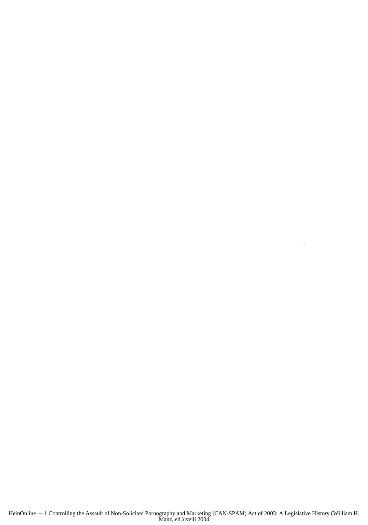HeinOnline -- 1 Controlling the Assault of Non-Solicited Pornography and Marketing (CAN-SPAM) Act of 2003: A Legislative History (William H. Manz, ed.) xviii 2004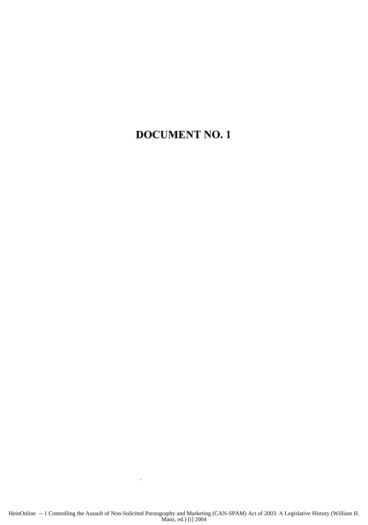## **DOCUMENT NO.** 1

 $\bar{t}$